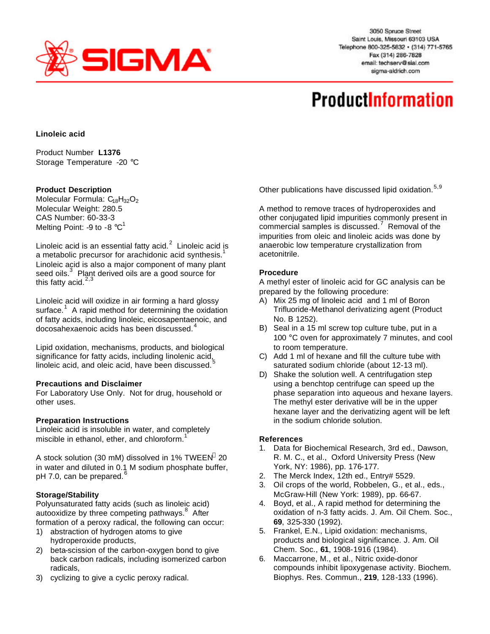

3050 Spruce Street Saint Louis, Missouri 63103 USA Telephone 800-325-5832 · (314) 771-5765 Fax (314) 286-7828 email: techserv@sial.com sigma-aldrich.com

# **ProductInformation**

## **Linoleic acid**

Product Number **L1376** Storage Temperature -20 °C

## **Product Description**

Molecular Formula: C<sub>18</sub>H<sub>32</sub>O<sub>2</sub> Molecular Weight: 280.5 CAS Number: 60-33-3 Melting Point: -9 to -8  $^{\circ}$ C<sup>1</sup>

Linoleic acid is an essential fatty acid.<sup>2</sup> Linoleic acid is a metabolic precursor for arachidonic acid synthesis.<sup>1</sup> Linoleic acid is also a major component of many plant seed oils.<sup>3</sup> Plant derived oils are a good source for this fatty acid. $2,3$ 

Linoleic acid will oxidize in air forming a hard glossy surface.<sup>1</sup> A rapid method for determining the oxidation of fatty acids, including linoleic, eicosapentaenoic, and docosahexaenoic acids has been discussed.<sup>4</sup>

Lipid oxidation, mechanisms, products, and biological significance for fatty acids, including linolenic acid, linoleic acid, and oleic acid, have been discussed.<sup>5</sup>

## **Precautions and Disclaimer**

For Laboratory Use Only. Not for drug, household or other uses.

#### **Preparation Instructions**

Linoleic acid is insoluble in water, and completely miscible in ethanol, ether, and chloroform.<sup>1</sup>

A stock solution (30 mM) dissolved in 1% TWEEN $^{\circ}$  20 in water and diluted in 0.1 M sodium phosphate buffer, pH 7.0, can be prepared. $6$ 

## **Storage/Stability**

Polyunsaturated fatty acids (such as linoleic acid) autooxidize by three competing pathways.<sup>8</sup> After formation of a peroxy radical, the following can occur:

- 1) abstraction of hydrogen atoms to give hydroperoxide products,
- 2) beta-scission of the carbon-oxygen bond to give back carbon radicals, including isomerized carbon radicals,
- 3) cyclizing to give a cyclic peroxy radical.

Other publications have discussed lipid oxidation.<sup>5,9</sup>

A method to remove traces of hydroperoxides and other conjugated lipid impurities commonly present in  $\sim$  commercial samples is discussed.<sup>7</sup> Removal of the impurities from oleic and linoleic acids was done by anaerobic low temperature crystallization from acetonitrile.

## **Procedure**

A methyl ester of linoleic acid for GC analysis can be prepared by the following procedure:

- A) Mix 25 mg of linoleic acid and 1 ml of Boron Trifluoride-Methanol derivatizing agent (Product No. B 1252).
- B) Seal in a 15 ml screw top culture tube, put in a 100 °C oven for approximately 7 minutes, and cool to room temperature.
- C) Add 1 ml of hexane and fill the culture tube with saturated sodium chloride (about 12-13 ml).
- D) Shake the solution well. A centrifugation step using a benchtop centrifuge can speed up the phase separation into aqueous and hexane layers. The methyl ester derivative will be in the upper hexane layer and the derivatizing agent will be left in the sodium chloride solution.

#### **References**

- 1. Data for Biochemical Research, 3rd ed., Dawson, R. M. C., et al., Oxford University Press (New York, NY: 1986), pp. 176-177.
- 2. The Merck Index, 12th ed., Entry# 5529.
- 3. Oil crops of the world, Robbelen, G., et al., eds., McGraw-Hill (New York: 1989), pp. 66-67.
- 4. Boyd, et al., A rapid method for determining the oxidation of n-3 fatty acids. J. Am. Oil Chem. Soc., **69**, 325-330 (1992).
- 5. Frankel, E.N., Lipid oxidation: mechanisms, products and biological significance. J. Am. Oil Chem. Soc., **61**, 1908-1916 (1984).
- 6. Maccarrone, M., et al., Nitric oxide-donor compounds inhibit lipoxygenase activity. Biochem. Biophys. Res. Commun., **219**, 128-133 (1996).